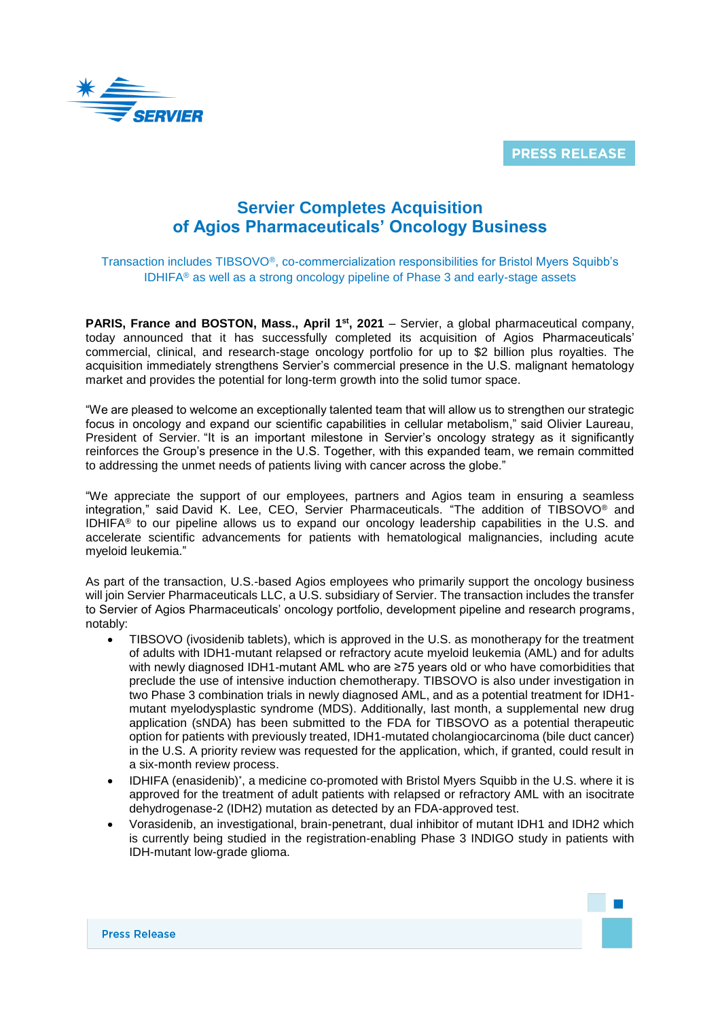



# **Servier Completes Acquisition of Agios Pharmaceuticals' Oncology Business**

Transaction includes TIBSOVO®, co-commercialization responsibilities for Bristol Myers Squibb's IDHIFA® as well as a strong oncology pipeline of Phase 3 and early-stage assets

**PARIS, France and BOSTON, Mass., April 1 st, 2021** – Servier, a global pharmaceutical company, today announced that it has successfully completed its acquisition of Agios Pharmaceuticals' commercial, clinical, and research-stage oncology portfolio for up to \$2 billion plus royalties. The acquisition immediately strengthens Servier's commercial presence in the U.S. malignant hematology market and provides the potential for long-term growth into the solid tumor space.

"We are pleased to welcome an exceptionally talented team that will allow us to strengthen our strategic focus in oncology and expand our scientific capabilities in cellular metabolism," said Olivier Laureau, President of Servier. "It is an important milestone in Servier's oncology strategy as it significantly reinforces the Group's presence in the U.S. Together, with this expanded team, we remain committed to addressing the unmet needs of patients living with cancer across the globe."

"We appreciate the support of our employees, partners and Agios team in ensuring a seamless integration," said David K. Lee, CEO, Servier Pharmaceuticals. "The addition of TIBSOVO® and IDHIFA® to our pipeline allows us to expand our oncology leadership capabilities in the U.S. and accelerate scientific advancements for patients with hematological malignancies, including acute myeloid leukemia."

As part of the transaction, U.S.-based Agios employees who primarily support the oncology business will join Servier Pharmaceuticals LLC, a U.S. subsidiary of Servier. The transaction includes the transfer to Servier of Agios Pharmaceuticals' oncology portfolio, development pipeline and research programs, notably:

- TIBSOVO (ivosidenib tablets), which is approved in the U.S. as monotherapy for the treatment of adults with IDH1-mutant relapsed or refractory acute myeloid leukemia (AML) and for adults with newly diagnosed IDH1-mutant AML who are ≥75 years old or who have comorbidities that preclude the use of intensive induction chemotherapy. TIBSOVO is also under investigation in two Phase 3 combination trials in newly diagnosed AML, and as a potential treatment for IDH1 mutant myelodysplastic syndrome (MDS). Additionally, last month, a supplemental new drug application (sNDA) has been submitted to the FDA for TIBSOVO as a potential therapeutic option for patients with previously treated, IDH1-mutated cholangiocarcinoma (bile duct cancer) in the U.S. A priority review was requested for the application, which, if granted, could result in a six-month review process.
- IDHIFA (enasidenib)\*, a medicine co-promoted with Bristol Myers Squibb in the U.S. where it is approved for the treatment of adult patients with relapsed or refractory AML with an isocitrate dehydrogenase-2 (IDH2) mutation as detected by an FDA-approved test.
- Vorasidenib, an investigational, brain-penetrant, dual inhibitor of mutant IDH1 and IDH2 which is currently being studied in the registration-enabling Phase 3 INDIGO study in patients with IDH-mutant low-grade glioma.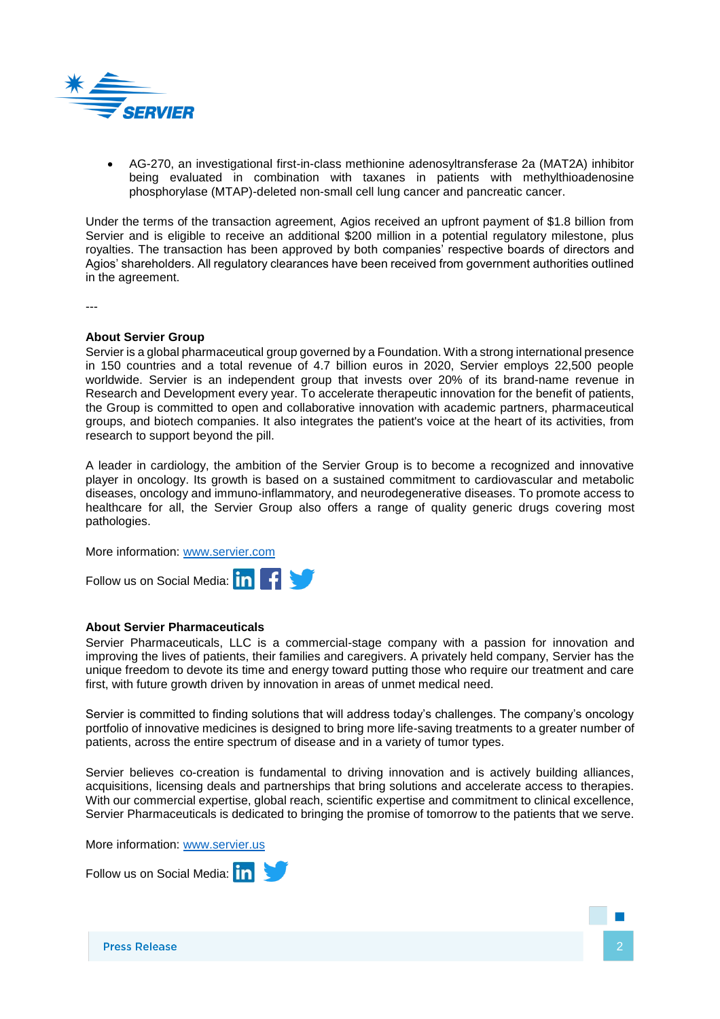

• AG-270, an investigational first-in-class methionine adenosyltransferase 2a (MAT2A) inhibitor being evaluated in combination with taxanes in patients with methylthioadenosine phosphorylase (MTAP)-deleted non-small cell lung cancer and pancreatic cancer.

Under the terms of the transaction agreement, Agios received an upfront payment of \$1.8 billion from Servier and is eligible to receive an additional \$200 million in a potential regulatory milestone, plus royalties. The transaction has been approved by both companies' respective boards of directors and Agios' shareholders. All regulatory clearances have been received from government authorities outlined in the agreement.

---

### **About Servier Group**

Servier is a global pharmaceutical group governed by a Foundation. With a strong international presence in 150 countries and a total revenue of 4.7 billion euros in 2020, Servier employs 22,500 people worldwide. Servier is an independent group that invests over 20% of its brand-name revenue in Research and Development every year. To accelerate therapeutic innovation for the benefit of patients, the Group is committed to open and collaborative innovation with academic partners, pharmaceutical groups, and biotech companies. It also integrates the patient's voice at the heart of its activities, from research to support beyond the pill.

A leader in cardiology, the ambition of the Servier Group is to become a recognized and innovative player in oncology. Its growth is based on a sustained commitment to cardiovascular and metabolic diseases, oncology and immuno-inflammatory, and neurodegenerative diseases. To promote access to healthcare for all, the Servier Group also offers a range of quality generic drugs covering most pathologies.

More information: [www.servier.com](http://www.servier.com/)



## **About Servier Pharmaceuticals**

Servier Pharmaceuticals, LLC is a commercial-stage company with a passion for innovation and improving the lives of patients, their families and caregivers. A privately held company, Servier has the unique freedom to devote its time and energy toward putting those who require our treatment and care first, with future growth driven by innovation in areas of unmet medical need.

Servier is committed to finding solutions that will address today's challenges. The company's oncology portfolio of innovative medicines is designed to bring more life-saving treatments to a greater number of patients, across the entire spectrum of disease and in a variety of tumor types.

Servier believes co-creation is fundamental to driving innovation and is actively building alliances, acquisitions, licensing deals and partnerships that bring solutions and accelerate access to therapies. With our commercial expertise, global reach, scientific expertise and commitment to clinical excellence, Servier Pharmaceuticals is dedicated to bringing the promise of tomorrow to the patients that we serve.

More information: [www.servier.us](http://www.servier.us/)

Follow us on Social Media: **In** 

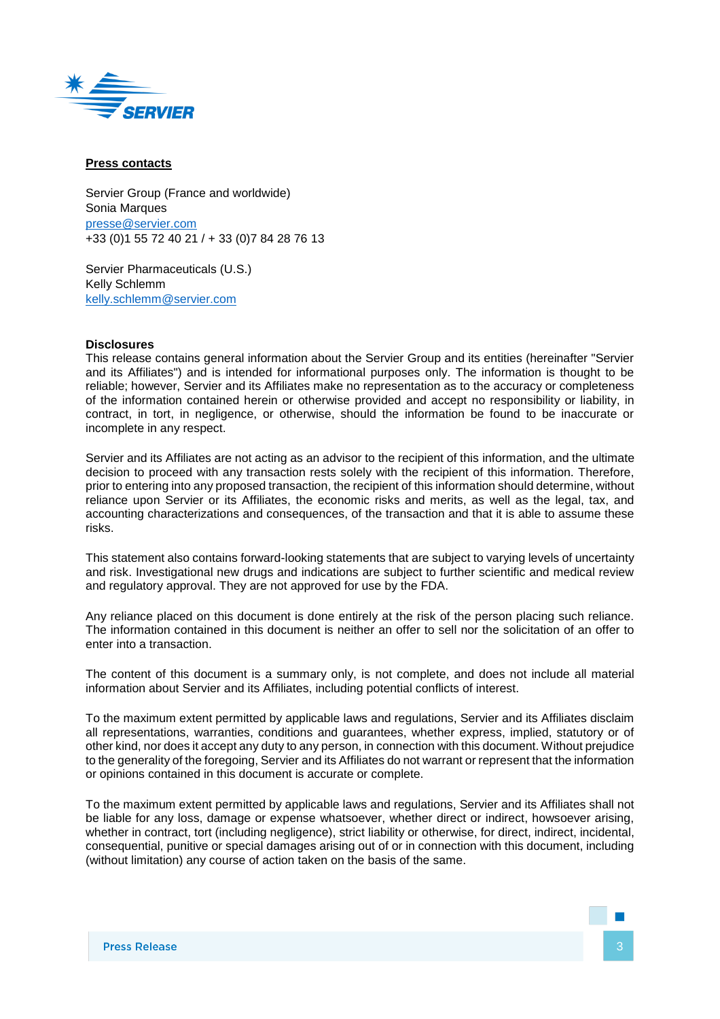

## **Press contacts**

Servier Group (France and worldwide) Sonia Marques [presse@servier.com](mailto:presse@servier.com) +33 (0)1 55 72 40 21 / + 33 (0)7 84 28 76 13

Servier Pharmaceuticals (U.S.) Kelly Schlemm [kelly.schlemm@servier.com](mailto:kelly.schlemm@servier.com)

### **Disclosures**

This release contains general information about the Servier Group and its entities (hereinafter "Servier and its Affiliates") and is intended for informational purposes only. The information is thought to be reliable; however, Servier and its Affiliates make no representation as to the accuracy or completeness of the information contained herein or otherwise provided and accept no responsibility or liability, in contract, in tort, in negligence, or otherwise, should the information be found to be inaccurate or incomplete in any respect.

Servier and its Affiliates are not acting as an advisor to the recipient of this information, and the ultimate decision to proceed with any transaction rests solely with the recipient of this information. Therefore, prior to entering into any proposed transaction, the recipient of this information should determine, without reliance upon Servier or its Affiliates, the economic risks and merits, as well as the legal, tax, and accounting characterizations and consequences, of the transaction and that it is able to assume these risks.

This statement also contains forward-looking statements that are subject to varying levels of uncertainty and risk. Investigational new drugs and indications are subject to further scientific and medical review and regulatory approval. They are not approved for use by the FDA.

Any reliance placed on this document is done entirely at the risk of the person placing such reliance. The information contained in this document is neither an offer to sell nor the solicitation of an offer to enter into a transaction.

The content of this document is a summary only, is not complete, and does not include all material information about Servier and its Affiliates, including potential conflicts of interest.

To the maximum extent permitted by applicable laws and regulations, Servier and its Affiliates disclaim all representations, warranties, conditions and guarantees, whether express, implied, statutory or of other kind, nor does it accept any duty to any person, in connection with this document. Without prejudice to the generality of the foregoing, Servier and its Affiliates do not warrant or represent that the information or opinions contained in this document is accurate or complete.

To the maximum extent permitted by applicable laws and regulations, Servier and its Affiliates shall not be liable for any loss, damage or expense whatsoever, whether direct or indirect, howsoever arising, whether in contract, tort (including negligence), strict liability or otherwise, for direct, indirect, incidental, consequential, punitive or special damages arising out of or in connection with this document, including (without limitation) any course of action taken on the basis of the same.